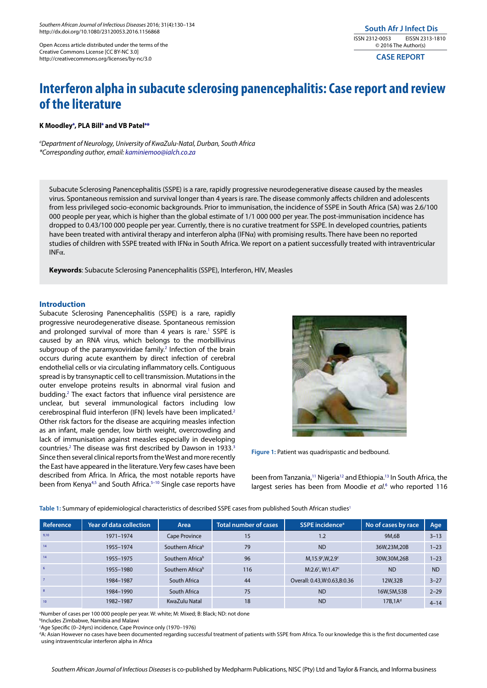Open Access article distributed under the terms of the Creative Commons License [CC BY-NC 3.0] http://creativecommons.org/licenses/by-nc/3.0

**CASE REPORT**

# **Interferon alpha in subacute sclerosing panencephalitis: Case report and review of the literature**

### **K Moodleya , PLA Billa and VB Patela \***

*a Department of Neurology, University of KwaZulu-Natal, Durban, South Africa \*Corresponding author, email: kaminiemoo@ialch.co.za*

Subacute Sclerosing Panencephalitis (SSPE) is a rare, rapidly progressive neurodegenerative disease caused by the measles virus. Spontaneous remission and survival longer than 4 years is rare. The disease commonly affects children and adolescents from less privileged socio-economic backgrounds. Prior to immunisation, the incidence of SSPE in South Africa (SA) was 2.6/100 000 people per year, which is higher than the global estimate of 1/1 000 000 per year. The post-immunisation incidence has dropped to 0.43/100 000 people per year. Currently, there is no curative treatment for SSPE. In developed countries, patients have been treated with antiviral therapy and interferon alpha (IFNα) with promising results. There have been no reported studies of children with SSPE treated with IFNα in South Africa. We report on a patient successfully treated with intraventricular INFα.

**Keywords**: Subacute Sclerosing Panencephalitis (SSPE), Interferon, HIV, Measles

## **Introduction**

Subacute Sclerosing Panencephalitis (SSPE) is a rare, rapidly progressive neurodegenerative disease. Spontaneous remission and prolonged survival of more than 4 years is rare.<sup>1</sup> SSPE is caused by an RNA virus, which belongs to the morbillivirus subgroup of the paramyxoviridae family.<sup>2</sup> Infection of the brain occurs during acute exanthem by direct infection of cerebral endothelial cells or via circulating inflammatory cells. Contiguous spread is by transynaptic cell to cell transmission. Mutations in the outer envelope proteins results in abnormal viral fusion and budding.<sup>2</sup> The exact factors that influence viral persistence are unclear, but several immunological factors including low cerebrospinal fluid interferon (IFN) levels have been implicated.2 Other risk factors for the disease are acquiring measles infection as an infant, male gender, low birth weight, overcrowding and lack of immunisation against measles especially in developing countries.<sup>2</sup> The disease was first described by Dawson in 1933.<sup>3</sup> Since then several clinical reports from the West and more recently the East have appeared in the literature. Very few cases have been described from Africa. In Africa, the most notable reports have been from Kenya<sup>4,5</sup> and South Africa.<sup>5-10</sup> Single case reports have



**Figure 1:** Patient was quadrispastic and bedbound.

been from Tanzania,<sup>11</sup> Nigeria<sup>12</sup> and Ethiopia.<sup>13</sup> In South Africa, the largest series has been from Moodie et al.<sup>6</sup> who reported 116

Table 1: Summary of epidemiological characteristics of described SSPE cases from published South African studies<sup>1</sup>

| Reference | Year of data collection <b>b</b> | Area             | <b>Total number of cases</b> | SSPE incidence <sup>a</sup>                  | No of cases by race | Age       |
|-----------|----------------------------------|------------------|------------------------------|----------------------------------------------|---------------------|-----------|
| 9.10      | 1971-1974                        | Cape Province    | 15                           | 1.2                                          | 9M.6B               | $3 - 13$  |
| 14        | 1955-1974                        | Southern Africab | 79                           | <b>ND</b>                                    | 36W,23M,20B         | $1 - 23$  |
| 14        | 1955-1975                        | Southern Africab | 96                           | $M, 15.9$ <sup>c</sup> , W, 2.9 <sup>c</sup> | 30W,30M,26B         | $1 - 23$  |
| 6         | 1955-1980                        | Southern Africab | 116                          | $M:2.6^c$ , W:1.47 $c$                       | <b>ND</b>           | <b>ND</b> |
|           | 1984-1987                        | South Africa     | 44                           | Overall: 0.43, W: 0.63, B: 0.36              | 12W.32B             | $3 - 27$  |
| 8         | 1984-1990                        | South Africa     | 75                           | <b>ND</b>                                    | 16W,5M,53B          | $2 - 29$  |
| 10        | 1982-1987                        | KwaZulu Natal    | 18                           | <b>ND</b>                                    | 17B.1A <sup>d</sup> | $4 - 14$  |

a Number of cases per 100 000 people per year. W: white; M: Mixed; B: Black; ND: not done

b Includes Zimbabwe, Namibia and Malawi

c Age Specific (0–24yrs) incidence, Cape Province only (1970–1976)

d A: Asian However no cases have been documented regarding successful treatment of patients with SSPE from Africa. To our knowledge this is the first documented case using intraventricular interferon alpha in Africa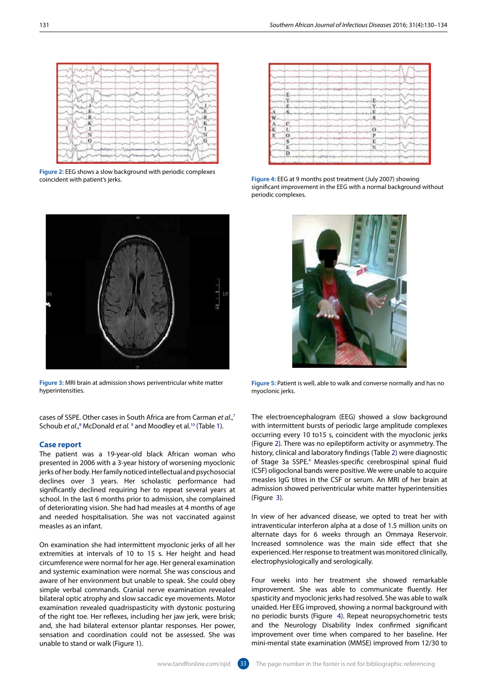Schoub et al.,<sup>8</sup> McDonald et al. <sup>9</sup> and Moodley et al.<sup>10</sup> (Table 1). **Case report** The patient was a 19-year-old black African woman who

cases of SSPE. Other cases in South Africa are from Carman *et al*., 7

**Figure 3:** MRI brain at admission shows periventricular white matter

hyperintensities.

presented in 2006 with a 3-year history of worsening myoclonic jerks of her body. Her family noticed intellectual and psychosocial declines over 3 years. Her scholastic performance had significantly declined requiring her to repeat several years at school. In the last 6 months prior to admission, she complained of deteriorating vision. She had had measles at 4 months of age and needed hospitalisation. She was not vaccinated against measles as an infant.

On examination she had intermittent myoclonic jerks of all her extremities at intervals of 10 to 15 s. Her height and head circumference were normal for her age. Her general examination and systemic examination were normal. She was conscious and aware of her environment but unable to speak. She could obey simple verbal commands. Cranial nerve examination revealed bilateral optic atrophy and slow saccadic eye movements. Motor examination revealed quadrispasticity with dystonic posturing of the right toe. Her reflexes, including her jaw jerk, were brisk; and, she had bilateral extensor plantar responses. Her power, sensation and coordination could not be assessed. She was unable to stand or walk (Figure 1).

**Figure 5:** Patient is well, able to walk and converse normally and has no myoclonic jerks.

The electroencephalogram (EEG) showed a slow background with intermittent bursts of periodic large amplitude complexes occurring every 10 to15 s, coincident with the myoclonic jerks (Figure 2). There was no epileptiform activity or asymmetry. The history, clinical and laboratory findings (Table 2) were diagnostic of Stage 3a SSPE.4 Measles-specific cerebrospinal spinal fluid (CSF) oligoclonal bands were positive. We were unable to acquire measles IgG titres in the CSF or serum. An MRI of her brain at admission showed periventricular white matter hyperintensities (Figure 3).

In view of her advanced disease, we opted to treat her with intraventicular interferon alpha at a dose of 1.5 million units on alternate days for 6 weeks through an Ommaya Reservoir. Increased somnolence was the main side effect that she experienced. Her response to treatment was monitored clinically, electrophysiologically and serologically.

Four weeks into her treatment she showed remarkable improvement. She was able to communicate fluently. Her spasticity and myoclonic jerks had resolved. She was able to walk unaided. Her EEG improved, showing a normal background with no periodic bursts (Figure 4). Repeat neuropsychometric tests and the Neurology Disability Index confirmed significant improvement over time when compared to her baseline. Her mini-mental state examination (MMSE) improved from 12/30 to









**Figure 4:** EEG at 9 months post treatment (July 2007) showing significant improvement in the EEG with a normal background without

periodic complexes.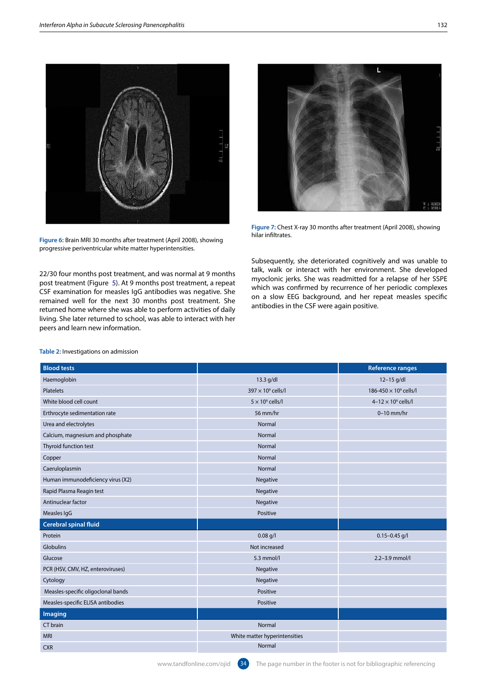

**Figure 6:** Brain MRI 30 months after treatment (April 2008), showing progressive periventricular white matter hyperintensities.

22/30 four months post treatment, and was normal at 9 months post treatment (Figure 5). At 9 months post treatment, a repeat CSF examination for measles IgG antibodies was negative. She remained well for the next 30 months post treatment. She returned home where she was able to perform activities of daily living. She later returned to school, was able to interact with her peers and learn new information.



**Figure 7:** Chest X-ray 30 months after treatment (April 2008), showing hilar infiltrates.

Subsequently, she deteriorated cognitively and was unable to talk, walk or interact with her environment. She developed myoclonic jerks. She was readmitted for a relapse of her SSPE which was confirmed by recurrence of her periodic complexes on a slow EEG background, and her repeat measles specific antibodies in the CSF were again positive.

| <b>Blood tests</b>                 |                               | <b>Reference ranges</b>                |
|------------------------------------|-------------------------------|----------------------------------------|
| Haemoglobin                        | $13.3$ g/dl                   | 12-15 g/dl                             |
| Platelets                          | $397 \times 10^9$ cells/l     | 186-450 $\times$ 10 $^{\circ}$ cells/l |
| White blood cell count             | $5 \times 10^9$ cells/l       | $4-12 \times 10^9$ cells/l             |
| Erthrocyte sedimentation rate      | 56 mm/hr                      | $0-10$ mm/hr                           |
| Urea and electrolytes              | Normal                        |                                        |
| Calcium, magnesium and phosphate   | Normal                        |                                        |
| Thyroid function test              | Normal                        |                                        |
| Copper                             | Normal                        |                                        |
| Caeruloplasmin                     | Normal                        |                                        |
| Human immunodeficiency virus (X2)  | Negative                      |                                        |
| Rapid Plasma Reagin test           | Negative                      |                                        |
| Antinuclear factor                 | Negative                      |                                        |
| Measles IgG                        | Positive                      |                                        |
| <b>Cerebral spinal fluid</b>       |                               |                                        |
| Protein                            | $0.08$ g/l                    | $0.15 - 0.45$ g/l                      |
| Globulins                          | Not increased                 |                                        |
| Glucose                            | 5.3 mmol/l                    | 2.2-3.9 mmol/l                         |
| PCR (HSV, CMV, HZ, enteroviruses)  | Negative                      |                                        |
| Cytology                           | Negative                      |                                        |
| Measles-specific oligoclonal bands | Positive                      |                                        |
| Measles-specific ELISA antibodies  | Positive                      |                                        |
| Imaging                            |                               |                                        |
| CT brain                           | Normal                        |                                        |
| <b>MRI</b>                         | White matter hyperintensities |                                        |
| <b>CXR</b>                         | Normal                        |                                        |

#### **Table 2:** Investigations on admission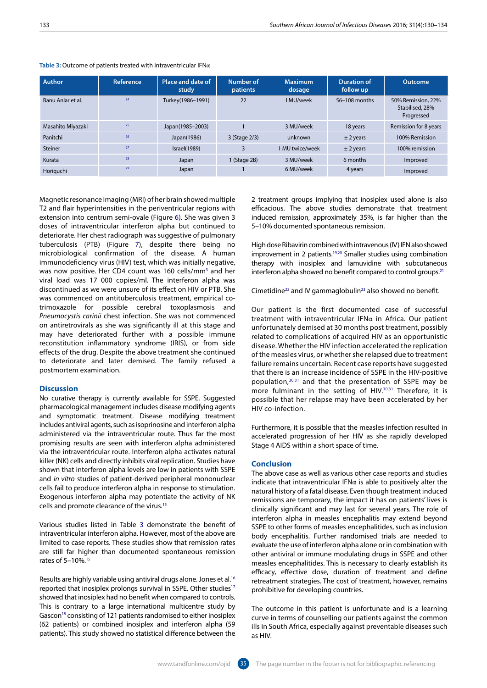| <b>Author</b>     | Reference | Place and date of<br>study | Number of<br>patients | <b>Maximum</b><br>dosage | <b>Duration of</b><br>follow up | <b>Outcome</b>                                      |
|-------------------|-----------|----------------------------|-----------------------|--------------------------|---------------------------------|-----------------------------------------------------|
| Banu Anlar et al. | 24        | Turkey(1986-1991)          | 22                    | I MU/week                | 56-108 months                   | 50% Remission, 22%<br>Stabilised, 28%<br>Progressed |
| Masahito Miyazaki | 25        | Japan(1985-2003)           |                       | 3 MU/week                | 18 years                        | Remission for 8 years                               |
| Panitchi          | 26        | Japan(1986)                | 3 (Stage 2/3)         | unknown                  | $±$ 2 years                     | 100% Remission                                      |
| Steiner           | 27        | Israel(1989)               |                       | 1 MU twice/week          | $±$ 2 years                     | 100% remission                                      |
| Kurata            | 28        | Japan                      | 1 (Stage 2B)          | 3 MU/week                | 6 months                        | Improved                                            |
| Horiguchi         | 29        | Japan                      |                       | 6 MU/week                | 4 years                         | Improved                                            |

### **Table 3:** Outcome of patients treated with intraventricular IFNα

Magnetic resonance imaging (MRI) of her brain showed multiple T2 and flair hyperintensities in the periventricular regions with extension into centrum semi-ovale (Figure 6). She was given 3 doses of intraventricular interferon alpha but continued to deteriorate. Her chest radiograph was suggestive of pulmonary tuberculosis (PTB) (Figure 7), despite there being no microbiological confirmation of the disease. A human immunodeficiency virus (HIV) test, which was initially negative, was now positive. Her CD4 count was 160 cells/mm<sup>3</sup> and her viral load was 17 000 copies/ml. The interferon alpha was discontinued as we were unsure of its effect on HIV or PTB. She was commenced on antituberculosis treatment, empirical cotrimoxazole for possible cerebral toxoplasmosis and *Pneumocystis carinii* chest infection. She was not commenced on antiretrovirals as she was significantly ill at this stage and may have deteriorated further with a possible immune reconstitution inflammatory syndrome (IRIS), or from side effects of the drug. Despite the above treatment she continued to deteriorate and later demised. The family refused a postmortem examination.

### **Discussion**

No curative therapy is currently available for SSPE. Suggested pharmacological management includes disease modifying agents and symptomatic treatment. Disease modifying treatment includes antiviral agents, such as isoprinosine and interferon alpha administered via the intraventricular route. Thus far the most promising results are seen with interferon alpha administered via the intraventricular route. Interferon alpha activates natural killer (NK) cells and directly inhibits viral replication. Studies have shown that interferon alpha levels are low in patients with SSPE and *in vitro* studies of patient-derived peripheral mononuclear cells fail to produce interferon alpha in response to stimulation. Exogenous interferon alpha may potentiate the activity of NK cells and promote clearance of the virus.15

Various studies listed in Table 3 demonstrate the benefit of intraventricular interferon alpha. However, most of the above are limited to case reports. These studies show that remission rates are still far higher than documented spontaneous remission rates of 5–10%.15

Results are highly variable using antiviral drugs alone. Jones et al.16 reported that inosiplex prolongs survival in SSPE. Other studies<sup>17</sup> showed that inosiplex had no benefit when compared to controls. This is contrary to a large international multicentre study by Gascon<sup>18</sup> consisting of 121 patients randomised to either inosiplex (62 patients) or combined inosiplex and interferon alpha (59 patients). This study showed no statistical difference between the

2 treatment groups implying that inosiplex used alone is also efficacious. The above studies demonstrate that treatment induced remission, approximately 35%, is far higher than the 5–10% documented spontaneous remission.

High dose Ribavirin combined with intravenous (IV) IFN also showed improvement in 2 patients.<sup>19,20</sup> Smaller studies using combination therapy with inosiplex and lamuvidine with subcutaneous interferon alpha showed no benefit compared to control groups.<sup>21</sup>

Cimetidine<sup>22</sup> and IV gammaglobulin<sup>23</sup> also showed no benefit.

Our patient is the first documented case of successful treatment with intraventricular IFNα in Africa. Our patient unfortunately demised at 30 months post treatment, possibly related to complications of acquired HIV as an opportunistic disease. Whether the HIV infection accelerated the replication of the measles virus, or whether she relapsed due to treatment failure remains uncertain. Recent case reports have suggested that there is an increase incidence of SSPE in the HIV-positive population,30,31 and that the presentation of SSPE may be more fulminant in the setting of HIV.<sup>30,31</sup> Therefore, it is possible that her relapse may have been accelerated by her HIV co-infection.

Furthermore, it is possible that the measles infection resulted in accelerated progression of her HIV as she rapidly developed Stage 4 AIDS within a short space of time.

## **Conclusion**

The above case as well as various other case reports and studies indicate that intraventricular IFN $\alpha$  is able to positively alter the natural history of a fatal disease. Even though treatment induced remissions are temporary, the impact it has on patients' lives is clinically significant and may last for several years. The role of interferon alpha in measles encephalitis may extend beyond SSPE to other forms of measles encephalitides, such as inclusion body encephalitis. Further randomised trials are needed to evaluate the use of interferon alpha alone or in combination with other antiviral or immune modulating drugs in SSPE and other measles encephalitides. This is necessary to clearly establish its efficacy, effective dose, duration of treatment and define retreatment strategies. The cost of treatment, however, remains prohibitive for developing countries.

The outcome in this patient is unfortunate and is a learning curve in terms of counselling our patients against the common ills in South Africa, especially against preventable diseases such as HIV.